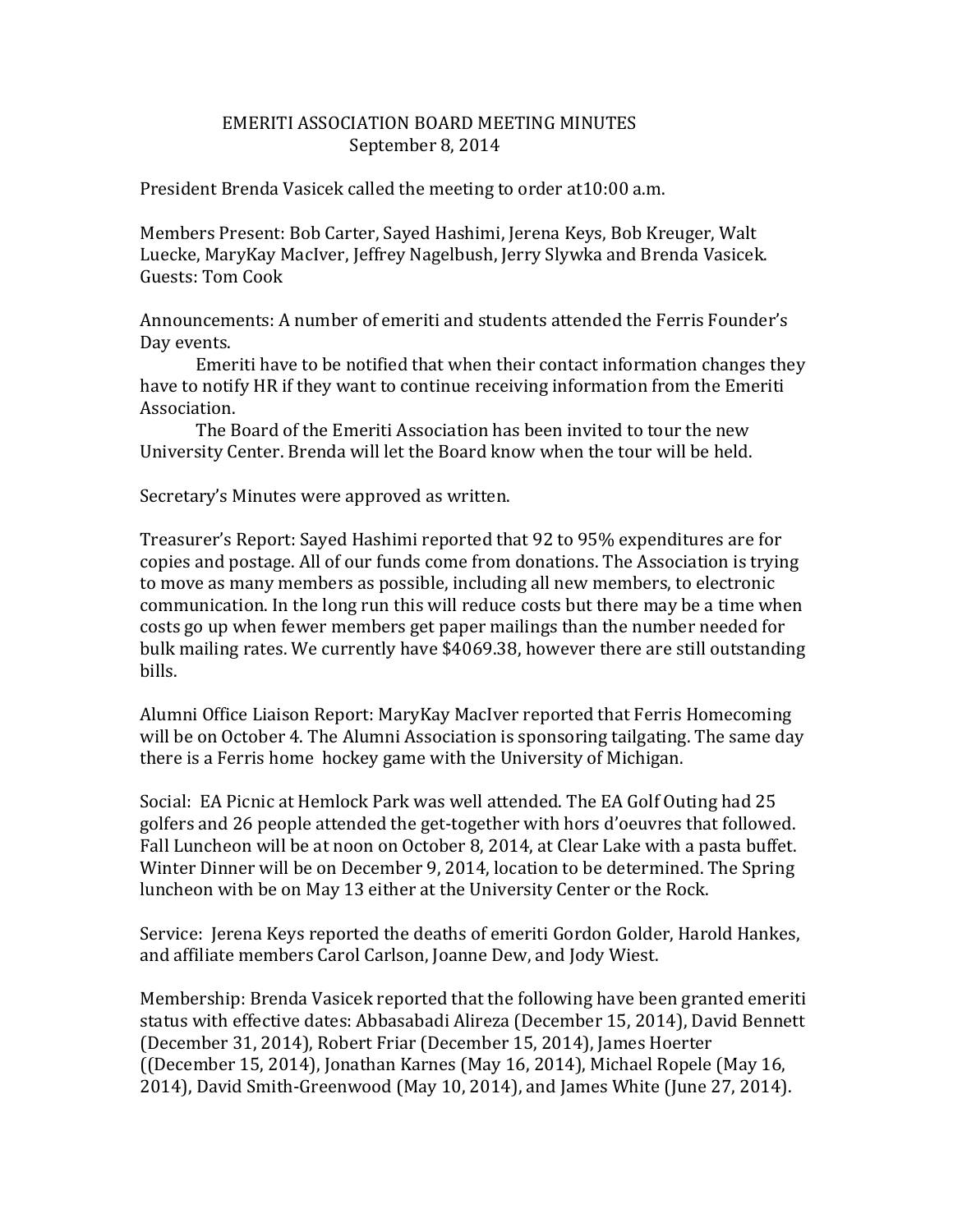## EMERITI ASSOCIATION BOARD MEETING MINUTES September 8, 2014

President Brenda Vasicek called the meeting to order at10:00 a.m.

Members Present: Bob Carter, Sayed Hashimi, Jerena Keys, Bob Kreuger, Walt Luecke, MaryKay MacIver, Jeffrey Nagelbush, Jerry Slywka and Brenda Vasicek. Guests: Tom Cook

Announcements: A number of emeriti and students attended the Ferris Founder's Day events.

Emeriti have to be notified that when their contact information changes they have to notify HR if they want to continue receiving information from the Emeriti Association.

The Board of the Emeriti Association has been invited to tour the new University Center. Brenda will let the Board know when the tour will be held.

Secretary's Minutes were approved as written.

Treasurer's Report: Sayed Hashimi reported that 92 to 95% expenditures are for copies and postage. All of our funds come from donations. The Association is trying to move as many members as possible, including all new members, to electronic communication. In the long run this will reduce costs but there may be a time when costs go up when fewer members get paper mailings than the number needed for bulk mailing rates. We currently have \$4069.38, however there are still outstanding bills.

Alumni Office Liaison Report: MaryKay MacIver reported that Ferris Homecoming will be on October 4. The Alumni Association is sponsoring tailgating. The same day there is a Ferris home hockey game with the University of Michigan.

Social: EA Picnic at Hemlock Park was well attended. The EA Golf Outing had 25 golfers and 26 people attended the get-together with hors d'oeuvres that followed. Fall Luncheon will be at noon on October 8, 2014, at Clear Lake with a pasta buffet. Winter Dinner will be on December 9, 2014, location to be determined. The Spring luncheon with be on May 13 either at the University Center or the Rock.

Service: Jerena Keys reported the deaths of emeriti Gordon Golder, Harold Hankes, and affiliate members Carol Carlson, Joanne Dew, and Jody Wiest.

Membership: Brenda Vasicek reported that the following have been granted emeriti status with effective dates: Abbasabadi Alireza (December 15, 2014), David Bennett (December 31, 2014), Robert Friar (December 15, 2014), James Hoerter ((December 15, 2014), Jonathan Karnes (May 16, 2014), Michael Ropele (May 16, 2014), David Smith-Greenwood (May 10, 2014), and James White (June 27, 2014).